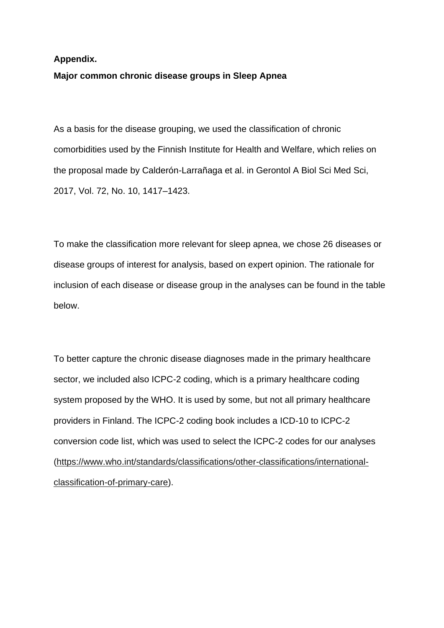## **Appendix. Major common chronic disease groups in Sleep Apnea**

As a basis for the disease grouping, we used the classification of chronic comorbidities used by the Finnish Institute for Health and Welfare, which relies on the proposal made by Calderón-Larrañaga et al. in Gerontol A Biol Sci Med Sci, 2017, Vol. 72, No. 10, 1417–1423.

To make the classification more relevant for sleep apnea, we chose 26 diseases or disease groups of interest for analysis, based on expert opinion. The rationale for inclusion of each disease or disease group in the analyses can be found in the table below.

To better capture the chronic disease diagnoses made in the primary healthcare sector, we included also ICPC-2 coding, which is a primary healthcare coding system proposed by the WHO. It is used by some, but not all primary healthcare providers in Finland. The ICPC-2 coding book includes a ICD-10 to ICPC-2 conversion code list, which was used to select the ICPC-2 codes for our analyses [\(https://www.who.int/standards/classifications/other-classifications/international](https://www.who.int/standards/classifications/other-classifications/international-classification-of-primary-care)[classification-of-primary-care\)](https://www.who.int/standards/classifications/other-classifications/international-classification-of-primary-care).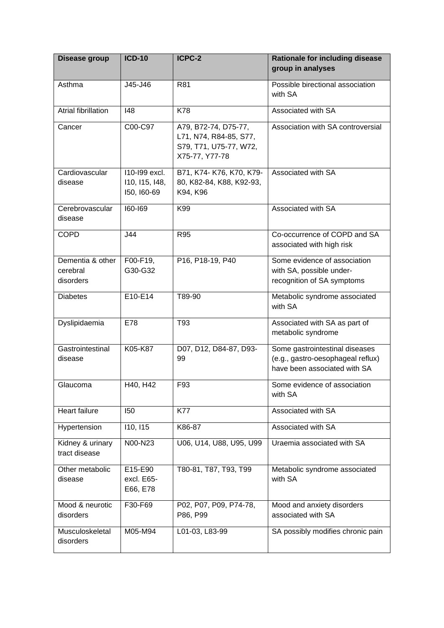| Disease group                             | <b>ICD-10</b>                                  | ICPC-2                                                                                     | <b>Rationale for including disease</b><br>group in analyses                                         |
|-------------------------------------------|------------------------------------------------|--------------------------------------------------------------------------------------------|-----------------------------------------------------------------------------------------------------|
| Asthma                                    | J45-J46                                        | R81                                                                                        | Possible birectional association<br>with SA                                                         |
| Atrial fibrillation                       | 148                                            | K78                                                                                        | Associated with SA                                                                                  |
| Cancer                                    | C00-C97                                        | A79, B72-74, D75-77,<br>L71, N74, R84-85, S77,<br>S79, T71, U75-77, W72,<br>X75-77, Y77-78 | Association with SA controversial                                                                   |
| Cardiovascular<br>disease                 | 110-199 excl.<br>110, 115, 148,<br>150, 160-69 | B71, K74- K76, K70, K79-<br>80, K82-84, K88, K92-93,<br>K94, K96                           | Associated with SA                                                                                  |
| Cerebrovascular<br>disease                | $160 - 169$                                    | K99                                                                                        | Associated with SA                                                                                  |
| <b>COPD</b>                               | J44                                            | <b>R95</b>                                                                                 | Co-occurrence of COPD and SA<br>associated with high risk                                           |
| Dementia & other<br>cerebral<br>disorders | F00-F19,<br>G30-G32                            | P16, P18-19, P40                                                                           | Some evidence of association<br>with SA, possible under-<br>recognition of SA symptoms              |
| <b>Diabetes</b>                           | E10-E14                                        | T89-90                                                                                     | Metabolic syndrome associated<br>with SA                                                            |
| Dyslipidaemia                             | E78                                            | T93                                                                                        | Associated with SA as part of<br>metabolic syndrome                                                 |
| Gastrointestinal<br>disease               | K05-K87                                        | D07, D12, D84-87, D93-<br>99                                                               | Some gastrointestinal diseases<br>(e.g., gastro-oesophageal reflux)<br>have been associated with SA |
| Glaucoma                                  | H40, H42                                       | F93                                                                                        | Some evidence of association<br>with SA                                                             |
| Heart failure                             | 150                                            | <b>K77</b>                                                                                 | Associated with SA                                                                                  |
| Hypertension                              | 110, 115                                       | K86-87                                                                                     | Associated with SA                                                                                  |
| Kidney & urinary<br>tract disease         | N00-N23                                        | U06, U14, U88, U95, U99                                                                    | Uraemia associated with SA                                                                          |
| Other metabolic<br>disease                | E15-E90<br>excl. E65-<br>E66, E78              | T80-81, T87, T93, T99                                                                      | Metabolic syndrome associated<br>with SA                                                            |
| Mood & neurotic<br>disorders              | F30-F69                                        | P02, P07, P09, P74-78,<br>P86, P99                                                         | Mood and anxiety disorders<br>associated with SA                                                    |
| Musculoskeletal<br>disorders              | M05-M94                                        | L01-03, L83-99                                                                             | SA possibly modifies chronic pain                                                                   |